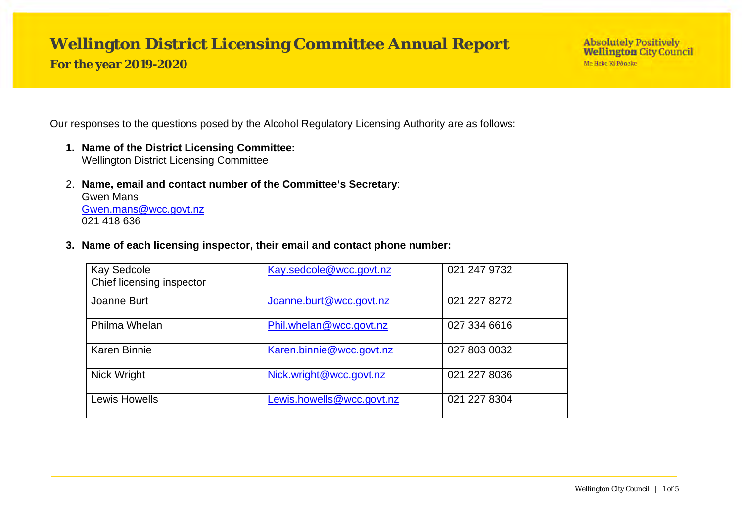# **Wellington District Licensing Committee Annual Report**

**For the year 2019-2020**

Our responses to the questions posed by the Alcohol Regulatory Licensing Authority are as follows:

- **1. Name of the District Licensing Committee:** Wellington District Licensing Committee
- 2. **Name, email and contact number of the Committee's Secretary**: Gwen Mans [Gwen.mans@wcc.govt.nz](mailto:Gwen.mans@wcc.govt.nz) 021 418 636
- **3. Name of each licensing inspector, their email and contact phone number:**

| <b>Kay Sedcole</b><br>Chief licensing inspector | Kay.sedcole@wcc.govt.nz   | 021 247 9732 |
|-------------------------------------------------|---------------------------|--------------|
| Joanne Burt                                     | Joanne.burt@wcc.govt.nz   | 021 227 8272 |
| Philma Whelan                                   | Phil.whelan@wcc.govt.nz   | 027 334 6616 |
| <b>Karen Binnie</b>                             | Karen.binnie@wcc.govt.nz  | 027 803 0032 |
| Nick Wright                                     | Nick.wright@wcc.govt.nz   | 021 227 8036 |
| Lewis Howells                                   | Lewis.howells@wcc.govt.nz | 021 227 8304 |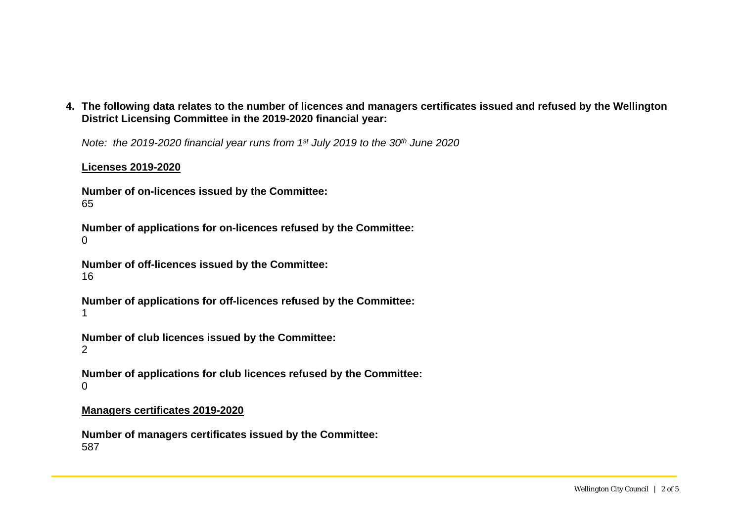**4. The following data relates to the number of licences and managers certificates issued and refused by the Wellington District Licensing Committee in the 2019-2020 financial year:**

*Note: the 2019-2020 financial year runs from 1st July 2019 to the 30th June 2020*

#### **Licenses 2019-2020**

**Number of on-licences issued by the Committee:** 65

**Number of applications for on-licences refused by the Committee:**  $\Omega$ 

**Number of off-licences issued by the Committee:** 16

**Number of applications for off-licences refused by the Committee:** 1

**Number of club licences issued by the Committee:**

2

**Number of applications for club licences refused by the Committee:**  $\Omega$ 

#### **Managers certificates 2019-2020**

**Number of managers certificates issued by the Committee:** 587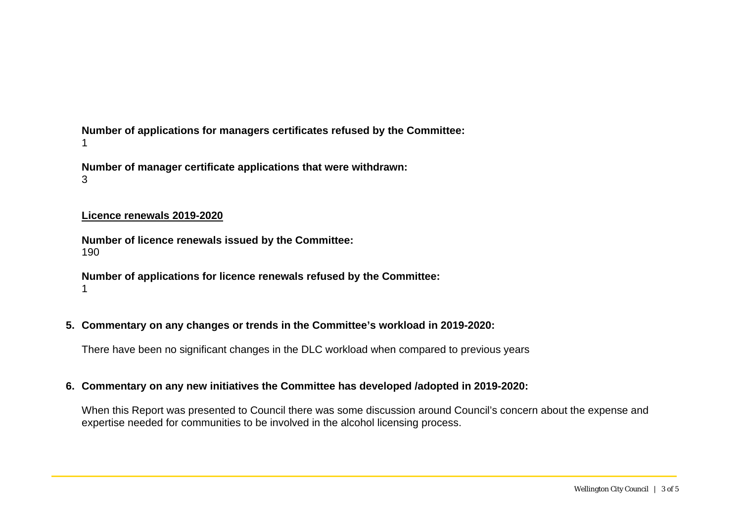**Number of applications for managers certificates refused by the Committee:** 1

**Number of manager certificate applications that were withdrawn:** 3

#### **Licence renewals 2019-2020**

**Number of licence renewals issued by the Committee:** 190

**Number of applications for licence renewals refused by the Committee:**  1

#### **5. Commentary on any changes or trends in the Committee's workload in 2019-2020:**

There have been no significant changes in the DLC workload when compared to previous years

#### **6. Commentary on any new initiatives the Committee has developed /adopted in 2019-2020:**

When this Report was presented to Council there was some discussion around Council's concern about the expense and expertise needed for communities to be involved in the alcohol licensing process.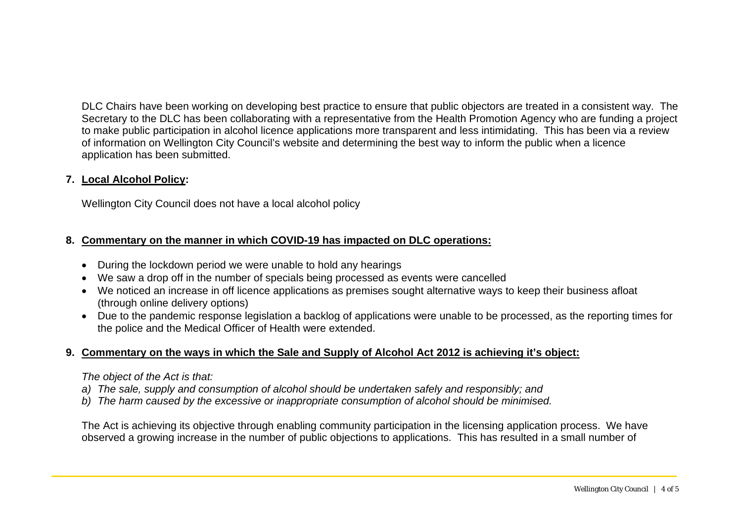DLC Chairs have been working on developing best practice to ensure that public objectors are treated in a consistent way. The Secretary to the DLC has been collaborating with a representative from the Health Promotion Agency who are funding a project to make public participation in alcohol licence applications more transparent and less intimidating. This has been via a review of information on Wellington City Council's website and determining the best way to inform the public when a licence application has been submitted.

## **7. Local Alcohol Policy:**

Wellington City Council does not have a local alcohol policy

# **8. Commentary on the manner in which COVID-19 has impacted on DLC operations:**

- During the lockdown period we were unable to hold any hearings
- We saw a drop off in the number of specials being processed as events were cancelled
- We noticed an increase in off licence applications as premises sought alternative ways to keep their business afloat (through online delivery options)
- Due to the pandemic response legislation a backlog of applications were unable to be processed, as the reporting times for the police and the Medical Officer of Health were extended.

# **9. Commentary on the ways in which the Sale and Supply of Alcohol Act 2012 is achieving it's object:**

#### *The object of the Act is that:*

- *a) The sale, supply and consumption of alcohol should be undertaken safely and responsibly; and*
- *b) The harm caused by the excessive or inappropriate consumption of alcohol should be minimised.*

The Act is achieving its objective through enabling community participation in the licensing application process. We have observed a growing increase in the number of public objections to applications. This has resulted in a small number of